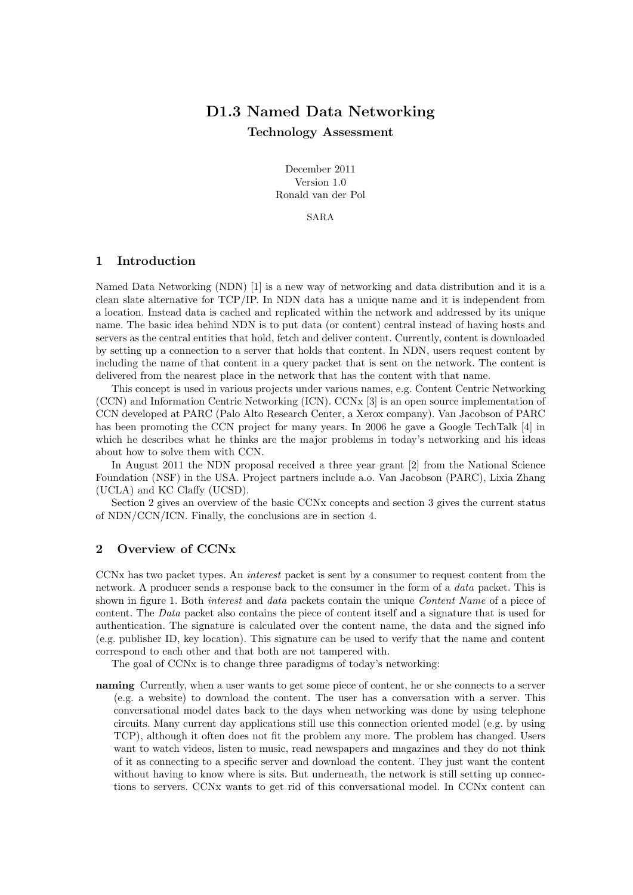# D1.3 Named Data Networking Technology Assessment

December 2011 Version 1.0 Ronald van der Pol

SARA

## 1 Introduction

Named Data Networking (NDN) [1] is a new way of networking and data distribution and it is a clean slate alternative for TCP/IP. In NDN data has a unique name and it is independent from a location. Instead data is cached and replicated within the network and addressed by its unique name. The basic idea behind NDN is to put data (or content) central instead of having hosts and servers as the central entities that hold, fetch and deliver content. Currently, content is downloaded by setting up a connection to a server that holds that content. In NDN, users request content by including the name of that content in a query packet that is sent on the network. The content is delivered from the nearest place in the network that has the content with that name.

This concept is used in various projects under various names, e.g. Content Centric Networking (CCN) and Information Centric Networking (ICN). CCNx [3] is an open source implementation of CCN developed at PARC (Palo Alto Research Center, a Xerox company). Van Jacobson of PARC has been promoting the CCN project for many years. In 2006 he gave a Google TechTalk [4] in which he describes what he thinks are the major problems in today's networking and his ideas about how to solve them with CCN.

In August 2011 the NDN proposal received a three year grant [2] from the National Science Foundation (NSF) in the USA. Project partners include a.o. Van Jacobson (PARC), Lixia Zhang (UCLA) and KC Claffy (UCSD).

Section 2 gives an overview of the basic CCNx concepts and section 3 gives the current status of NDN/CCN/ICN. Finally, the conclusions are in section 4.

### 2 Overview of CCNx

CCNx has two packet types. An interest packet is sent by a consumer to request content from the network. A producer sends a response back to the consumer in the form of a data packet. This is shown in figure 1. Both *interest* and *data* packets contain the unique *Content Name* of a piece of content. The Data packet also contains the piece of content itself and a signature that is used for authentication. The signature is calculated over the content name, the data and the signed info (e.g. publisher ID, key location). This signature can be used to verify that the name and content correspond to each other and that both are not tampered with.

The goal of CCNx is to change three paradigms of today's networking:

naming Currently, when a user wants to get some piece of content, he or she connects to a server (e.g. a website) to download the content. The user has a conversation with a server. This conversational model dates back to the days when networking was done by using telephone circuits. Many current day applications still use this connection oriented model (e.g. by using TCP), although it often does not fit the problem any more. The problem has changed. Users want to watch videos, listen to music, read newspapers and magazines and they do not think of it as connecting to a specific server and download the content. They just want the content without having to know where is sits. But underneath, the network is still setting up connections to servers. CCNx wants to get rid of this conversational model. In CCNx content can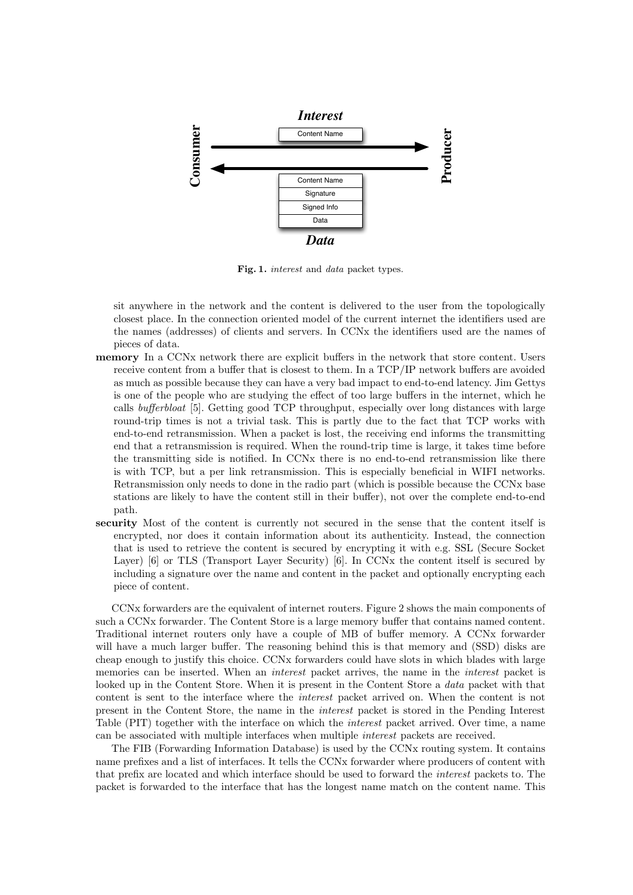

Fig. 1. interest and data packet types.

sit anywhere in the network and the content is delivered to the user from the topologically closest place. In the connection oriented model of the current internet the identifiers used are the names (addresses) of clients and servers. In CCNx the identifiers used are the names of pieces of data.

- memory In a CCNx network there are explicit buffers in the network that store content. Users receive content from a buffer that is closest to them. In a TCP/IP network buffers are avoided as much as possible because they can have a very bad impact to end-to-end latency. Jim Gettys is one of the people who are studying the effect of too large buffers in the internet, which he calls bufferbloat [5]. Getting good TCP throughput, especially over long distances with large round-trip times is not a trivial task. This is partly due to the fact that TCP works with end-to-end retransmission. When a packet is lost, the receiving end informs the transmitting end that a retransmission is required. When the round-trip time is large, it takes time before the transmitting side is notified. In CCNx there is no end-to-end retransmission like there is with TCP, but a per link retransmission. This is especially beneficial in WIFI networks. Retransmission only needs to done in the radio part (which is possible because the CCNx base stations are likely to have the content still in their buffer), not over the complete end-to-end path.
- security Most of the content is currently not secured in the sense that the content itself is encrypted, nor does it contain information about its authenticity. Instead, the connection that is used to retrieve the content is secured by encrypting it with e.g. SSL (Secure Socket Layer) [6] or TLS (Transport Layer Security) [6]. In CCNx the content itself is secured by including a signature over the name and content in the packet and optionally encrypting each piece of content.

CCNx forwarders are the equivalent of internet routers. Figure 2 shows the main components of such a CCNx forwarder. The Content Store is a large memory buffer that contains named content. Traditional internet routers only have a couple of MB of buffer memory. A CCNx forwarder will have a much larger buffer. The reasoning behind this is that memory and (SSD) disks are cheap enough to justify this choice. CCNx forwarders could have slots in which blades with large memories can be inserted. When an *interest* packet arrives, the name in the *interest* packet is looked up in the Content Store. When it is present in the Content Store a *data* packet with that content is sent to the interface where the interest packet arrived on. When the content is not present in the Content Store, the name in the interest packet is stored in the Pending Interest Table (PIT) together with the interface on which the interest packet arrived. Over time, a name can be associated with multiple interfaces when multiple interest packets are received.

The FIB (Forwarding Information Database) is used by the CCNx routing system. It contains name prefixes and a list of interfaces. It tells the CCNx forwarder where producers of content with that prefix are located and which interface should be used to forward the interest packets to. The packet is forwarded to the interface that has the longest name match on the content name. This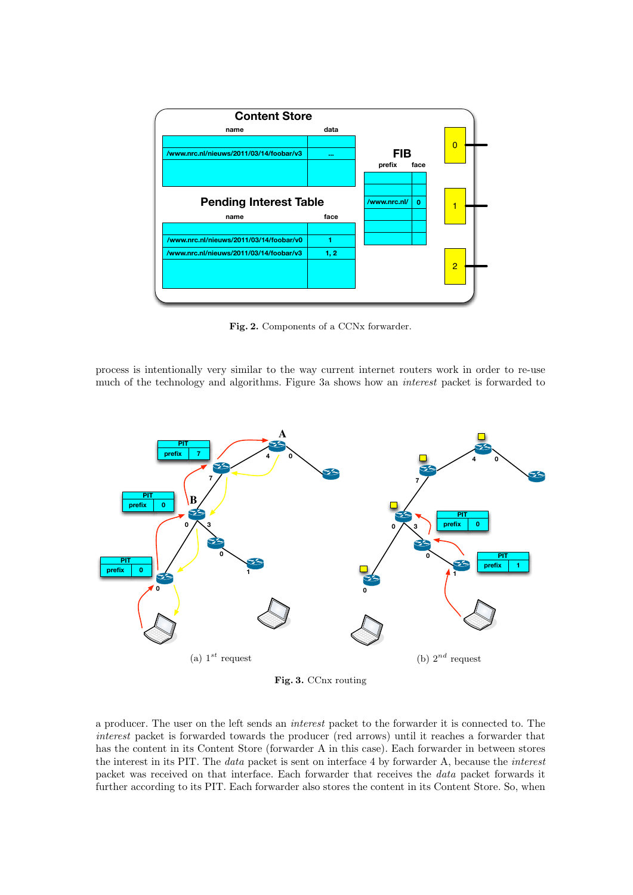

Fig. 2. Components of a CCNx forwarder.

process is intentionally very similar to the way current internet routers work in order to re-use much of the technology and algorithms. Figure 3a shows how an interest packet is forwarded to



Fig. 3. CCnx routing

a producer. The user on the left sends an interest packet to the forwarder it is connected to. The interest packet is forwarded towards the producer (red arrows) until it reaches a forwarder that has the content in its Content Store (forwarder A in this case). Each forwarder in between stores the interest in its PIT. The data packet is sent on interface 4 by forwarder A, because the interest packet was received on that interface. Each forwarder that receives the data packet forwards it further according to its PIT. Each forwarder also stores the content in its Content Store. So, when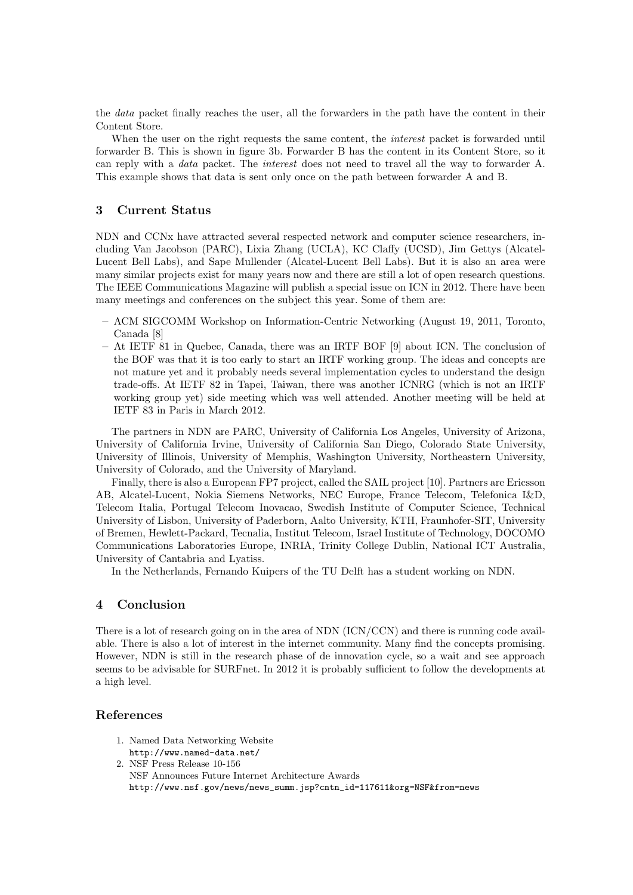the data packet finally reaches the user, all the forwarders in the path have the content in their Content Store.

When the user on the right requests the same content, the *interest* packet is forwarded until forwarder B. This is shown in figure 3b. Forwarder B has the content in its Content Store, so it can reply with a data packet. The interest does not need to travel all the way to forwarder A. This example shows that data is sent only once on the path between forwarder A and B.

### 3 Current Status

NDN and CCNx have attracted several respected network and computer science researchers, including Van Jacobson (PARC), Lixia Zhang (UCLA), KC Claffy (UCSD), Jim Gettys (Alcatel-Lucent Bell Labs), and Sape Mullender (Alcatel-Lucent Bell Labs). But it is also an area were many similar projects exist for many years now and there are still a lot of open research questions. The IEEE Communications Magazine will publish a special issue on ICN in 2012. There have been many meetings and conferences on the subject this year. Some of them are:

- ACM SIGCOMM Workshop on Information-Centric Networking (August 19, 2011, Toronto, Canada [8]
- At IETF 81 in Quebec, Canada, there was an IRTF BOF [9] about ICN. The conclusion of the BOF was that it is too early to start an IRTF working group. The ideas and concepts are not mature yet and it probably needs several implementation cycles to understand the design trade-offs. At IETF 82 in Tapei, Taiwan, there was another ICNRG (which is not an IRTF working group yet) side meeting which was well attended. Another meeting will be held at IETF 83 in Paris in March 2012.

The partners in NDN are PARC, University of California Los Angeles, University of Arizona, University of California Irvine, University of California San Diego, Colorado State University, University of Illinois, University of Memphis, Washington University, Northeastern University, University of Colorado, and the University of Maryland.

Finally, there is also a European FP7 project, called the SAIL project [10]. Partners are Ericsson AB, Alcatel-Lucent, Nokia Siemens Networks, NEC Europe, France Telecom, Telefonica I&D, Telecom Italia, Portugal Telecom Inovacao, Swedish Institute of Computer Science, Technical University of Lisbon, University of Paderborn, Aalto University, KTH, Fraunhofer-SIT, University of Bremen, Hewlett-Packard, Tecnalia, Institut Telecom, Israel Institute of Technology, DOCOMO Communications Laboratories Europe, INRIA, Trinity College Dublin, National ICT Australia, University of Cantabria and Lyatiss.

In the Netherlands, Fernando Kuipers of the TU Delft has a student working on NDN.

### 4 Conclusion

There is a lot of research going on in the area of NDN (ICN/CCN) and there is running code available. There is also a lot of interest in the internet community. Many find the concepts promising. However, NDN is still in the research phase of de innovation cycle, so a wait and see approach seems to be advisable for SURFnet. In 2012 it is probably sufficient to follow the developments at a high level.

### References

1. Named Data Networking Website http://www.named-data.net/ 2. NSF Press Release 10-156 NSF Announces Future Internet Architecture Awards http://www.nsf.gov/news/news\_summ.jsp?cntn\_id=117611&org=NSF&from=news